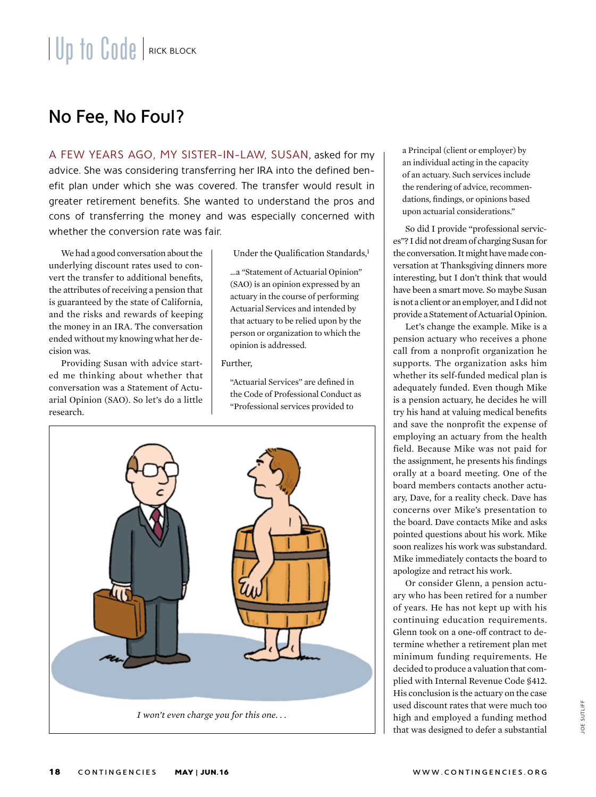## No Fee, No Foul?

A FEW YEARS AGO, MY SISTER-IN-LAW, SUSAN, asked for my advice. She was considering transferring her IRA into the defined benefit plan under which she was covered. The transfer would result in greater retirement benefits. She wanted to understand the pros and cons of transferring the money and was especially concerned with whether the conversion rate was fair.

We had a good conversation about the underlying discount rates used to convert the transfer to additional benefits, the attributes of receiving a pension that is guaranteed by the state of California, and the risks and rewards of keeping the money in an IRA. The conversation ended without my knowing what her decision was.

Providing Susan with advice started me thinking about whether that conversation was a Statement of Actuarial Opinion (SAO). So let's do a little research.

Under the Qualification Standards,<sup>1</sup>

…a "Statement of Actuarial Opinion" (SAO) is an opinion expressed by an actuary in the course of performing Actuarial Services and intended by that actuary to be relied upon by the person or organization to which the opinion is addressed.

## Further,

"Actuarial Services" are defined in the Code of Professional Conduct as "Professional services provided to



a Principal (client or employer) by an individual acting in the capacity of an actuary. Such services include the rendering of advice, recommendations, findings, or opinions based upon actuarial considerations."

So did I provide "professional services"? I did not dream of charging Susan for the conversation. It might have made conversation at Thanksgiving dinners more interesting, but I don't think that would have been a smart move. So maybe Susan is not a client or an employer, and I did not provide a Statement of Actuarial Opinion.

Let's change the example. Mike is a pension actuary who receives a phone call from a nonprofit organization he supports. The organization asks him whether its self-funded medical plan is adequately funded. Even though Mike is a pension actuary, he decides he will try his hand at valuing medical benefits and save the nonprofit the expense of employing an actuary from the health field. Because Mike was not paid for the assignment, he presents his findings orally at a board meeting. One of the board members contacts another actuary, Dave, for a reality check. Dave has concerns over Mike's presentation to the board. Dave contacts Mike and asks pointed questions about his work. Mike soon realizes his work was substandard. Mike immediately contacts the board to apologize and retract his work.

Or consider Glenn, a pension actuary who has been retired for a number of years. He has not kept up with his continuing education requirements. Glenn took on a one-off contract to determine whether a retirement plan met minimum funding requirements. He decided to produce a valuation that complied with Internal Revenue Code §412. His conclusion is the actuary on the case used discount rates that were much too high and employed a funding method that was designed to defer a substantial